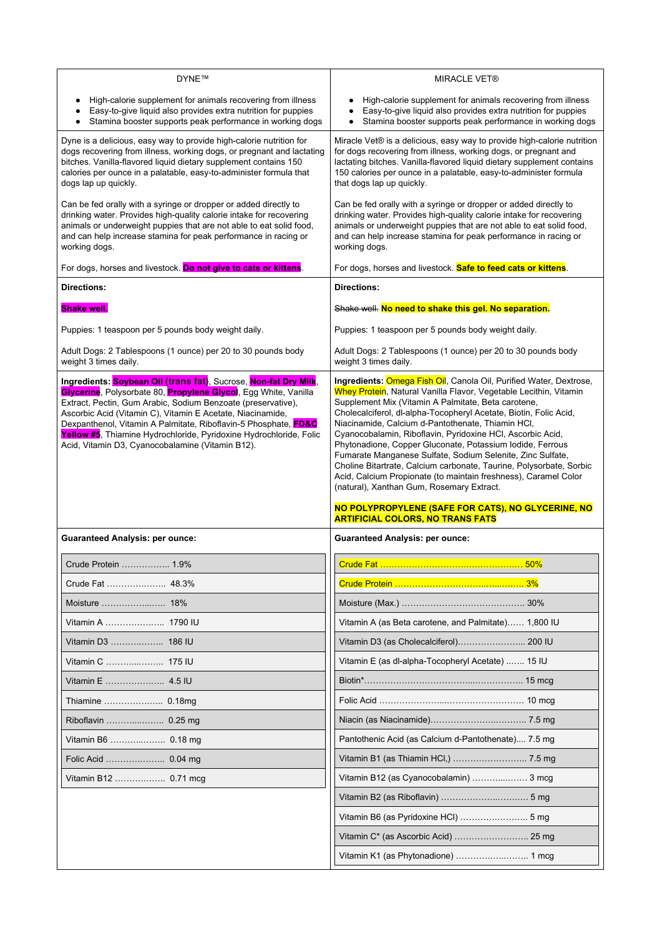| <b>DYNE™</b>                                                                                                                                                                                                                                                                                                                                                                                                                                                   | <b>MIRACLE VET®</b>                                                                                                                                                                                                                                                                                                                                                                                                                                                                                                                                                                                                                                                                                                                                                                                       |
|----------------------------------------------------------------------------------------------------------------------------------------------------------------------------------------------------------------------------------------------------------------------------------------------------------------------------------------------------------------------------------------------------------------------------------------------------------------|-----------------------------------------------------------------------------------------------------------------------------------------------------------------------------------------------------------------------------------------------------------------------------------------------------------------------------------------------------------------------------------------------------------------------------------------------------------------------------------------------------------------------------------------------------------------------------------------------------------------------------------------------------------------------------------------------------------------------------------------------------------------------------------------------------------|
| High-calorie supplement for animals recovering from illness<br>Easy-to-give liquid also provides extra nutrition for puppies<br>Stamina booster supports peak performance in working dogs                                                                                                                                                                                                                                                                      | High-calorie supplement for animals recovering from illness<br>Easy-to-give liquid also provides extra nutrition for puppies<br>Stamina booster supports peak performance in working dogs                                                                                                                                                                                                                                                                                                                                                                                                                                                                                                                                                                                                                 |
| Dyne is a delicious, easy way to provide high-calorie nutrition for<br>dogs recovering from illness, working dogs, or pregnant and lactating<br>bitches. Vanilla-flavored liquid dietary supplement contains 150<br>calories per ounce in a palatable, easy-to-administer formula that<br>dogs lap up quickly.                                                                                                                                                 | Miracle Vet® is a delicious, easy way to provide high-calorie nutrition<br>for dogs recovering from illness, working dogs, or pregnant and<br>lactating bitches. Vanilla-flavored liquid dietary supplement contains<br>150 calories per ounce in a palatable, easy-to-administer formula<br>that dogs lap up quickly.                                                                                                                                                                                                                                                                                                                                                                                                                                                                                    |
| Can be fed orally with a syringe or dropper or added directly to<br>drinking water. Provides high-quality calorie intake for recovering<br>animals or underweight puppies that are not able to eat solid food,<br>and can help increase stamina for peak performance in racing or<br>working dogs.                                                                                                                                                             | Can be fed orally with a syringe or dropper or added directly to<br>drinking water. Provides high-quality calorie intake for recovering<br>animals or underweight puppies that are not able to eat solid food,<br>and can help increase stamina for peak performance in racing or<br>working dogs.                                                                                                                                                                                                                                                                                                                                                                                                                                                                                                        |
| For dogs, horses and livestock. Do not give to cats or kittens.                                                                                                                                                                                                                                                                                                                                                                                                | For dogs, horses and livestock. Safe to feed cats or kittens.                                                                                                                                                                                                                                                                                                                                                                                                                                                                                                                                                                                                                                                                                                                                             |
| <b>Directions:</b>                                                                                                                                                                                                                                                                                                                                                                                                                                             | <b>Directions:</b>                                                                                                                                                                                                                                                                                                                                                                                                                                                                                                                                                                                                                                                                                                                                                                                        |
| <b>Shake well.</b>                                                                                                                                                                                                                                                                                                                                                                                                                                             | Shake well. No need to shake this gel. No separation.                                                                                                                                                                                                                                                                                                                                                                                                                                                                                                                                                                                                                                                                                                                                                     |
| Puppies: 1 teaspoon per 5 pounds body weight daily.                                                                                                                                                                                                                                                                                                                                                                                                            | Puppies: 1 teaspoon per 5 pounds body weight daily.                                                                                                                                                                                                                                                                                                                                                                                                                                                                                                                                                                                                                                                                                                                                                       |
| Adult Dogs: 2 Tablespoons (1 ounce) per 20 to 30 pounds body<br>weight 3 times daily.                                                                                                                                                                                                                                                                                                                                                                          | Adult Dogs: 2 Tablespoons (1 ounce) per 20 to 30 pounds body<br>weight 3 times daily.                                                                                                                                                                                                                                                                                                                                                                                                                                                                                                                                                                                                                                                                                                                     |
| Ingredients: Soybean Oil (trans fat), Sucrose, Non-fat Dry Milk,<br>Glycerine, Polysorbate 80, Propylene Glycol, Egg White, Vanilla<br>Extract, Pectin, Gum Arabic, Sodium Benzoate (preservative),<br>Ascorbic Acid (Vitamin C), Vitamin E Acetate, Niacinamide,<br>Dexpanthenol, Vitamin A Palmitate, Riboflavin-5 Phosphate, FD&C<br>Yellow #5, Thiamine Hydrochloride, Pyridoxine Hydrochloride, Folic<br>Acid, Vitamin D3, Cyanocobalamine (Vitamin B12). | Ingredients: Omega Fish Oil, Canola Oil, Purified Water, Dextrose,<br>Whey Protein, Natural Vanilla Flavor, Vegetable Lecithin, Vitamin<br>Supplement Mix (Vitamin A Palmitate, Beta carotene,<br>Cholecalciferol, dl-alpha-Tocopheryl Acetate, Biotin, Folic Acid,<br>Niacinamide, Calcium d-Pantothenate, Thiamin HCI,<br>Cyanocobalamin, Riboflavin, Pyridoxine HCI, Ascorbic Acid,<br>Phytonadione, Copper Gluconate, Potassium Iodide, Ferrous<br>Fumarate Manganese Sulfate, Sodium Selenite, Zinc Sulfate,<br>Choline Bitartrate, Calcium carbonate, Taurine, Polysorbate, Sorbic<br>Acid, Calcium Propionate (to maintain freshness), Caramel Color<br>(natural), Xanthan Gum, Rosemary Extract.<br>NO POLYPROPYLENE (SAFE FOR CATS), NO GLYCERINE, NO<br><b>ARTIFICIAL COLORS, NO TRANS FATS</b> |
| <b>Guaranteed Analysis: per ounce:</b>                                                                                                                                                                                                                                                                                                                                                                                                                         | <b>Guaranteed Analysis: per ounce:</b>                                                                                                                                                                                                                                                                                                                                                                                                                                                                                                                                                                                                                                                                                                                                                                    |
| Crude Protein  1.9%                                                                                                                                                                                                                                                                                                                                                                                                                                            |                                                                                                                                                                                                                                                                                                                                                                                                                                                                                                                                                                                                                                                                                                                                                                                                           |
| Crude Fat  48.3%                                                                                                                                                                                                                                                                                                                                                                                                                                               |                                                                                                                                                                                                                                                                                                                                                                                                                                                                                                                                                                                                                                                                                                                                                                                                           |
|                                                                                                                                                                                                                                                                                                                                                                                                                                                                |                                                                                                                                                                                                                                                                                                                                                                                                                                                                                                                                                                                                                                                                                                                                                                                                           |
| Vitamin A  1790 IU                                                                                                                                                                                                                                                                                                                                                                                                                                             | Vitamin A (as Beta carotene, and Palmitate) 1,800 IU                                                                                                                                                                                                                                                                                                                                                                                                                                                                                                                                                                                                                                                                                                                                                      |
| Vitamin D3  186 IU                                                                                                                                                                                                                                                                                                                                                                                                                                             | Vitamin D3 (as Cholecalciferol) 200 IU                                                                                                                                                                                                                                                                                                                                                                                                                                                                                                                                                                                                                                                                                                                                                                    |
| Vitamin C  175 IU                                                                                                                                                                                                                                                                                                                                                                                                                                              | Vitamin E (as dl-alpha-Tocopheryl Acetate)  15 IU                                                                                                                                                                                                                                                                                                                                                                                                                                                                                                                                                                                                                                                                                                                                                         |
| Vitamin E  4.5 IU                                                                                                                                                                                                                                                                                                                                                                                                                                              |                                                                                                                                                                                                                                                                                                                                                                                                                                                                                                                                                                                                                                                                                                                                                                                                           |
| Thiamine  0.18mg                                                                                                                                                                                                                                                                                                                                                                                                                                               |                                                                                                                                                                                                                                                                                                                                                                                                                                                                                                                                                                                                                                                                                                                                                                                                           |
|                                                                                                                                                                                                                                                                                                                                                                                                                                                                |                                                                                                                                                                                                                                                                                                                                                                                                                                                                                                                                                                                                                                                                                                                                                                                                           |
| Vitamin B6  0.18 mg                                                                                                                                                                                                                                                                                                                                                                                                                                            | Pantothenic Acid (as Calcium d-Pantothenate) 7.5 mg                                                                                                                                                                                                                                                                                                                                                                                                                                                                                                                                                                                                                                                                                                                                                       |
|                                                                                                                                                                                                                                                                                                                                                                                                                                                                | Vitamin B1 (as Thiamin HCl,)  7.5 mg                                                                                                                                                                                                                                                                                                                                                                                                                                                                                                                                                                                                                                                                                                                                                                      |
| Vitamin B12  0.71 mcg                                                                                                                                                                                                                                                                                                                                                                                                                                          | Vitamin B12 (as Cyanocobalamin)  3 mcg                                                                                                                                                                                                                                                                                                                                                                                                                                                                                                                                                                                                                                                                                                                                                                    |
|                                                                                                                                                                                                                                                                                                                                                                                                                                                                |                                                                                                                                                                                                                                                                                                                                                                                                                                                                                                                                                                                                                                                                                                                                                                                                           |
|                                                                                                                                                                                                                                                                                                                                                                                                                                                                |                                                                                                                                                                                                                                                                                                                                                                                                                                                                                                                                                                                                                                                                                                                                                                                                           |
|                                                                                                                                                                                                                                                                                                                                                                                                                                                                |                                                                                                                                                                                                                                                                                                                                                                                                                                                                                                                                                                                                                                                                                                                                                                                                           |
|                                                                                                                                                                                                                                                                                                                                                                                                                                                                |                                                                                                                                                                                                                                                                                                                                                                                                                                                                                                                                                                                                                                                                                                                                                                                                           |